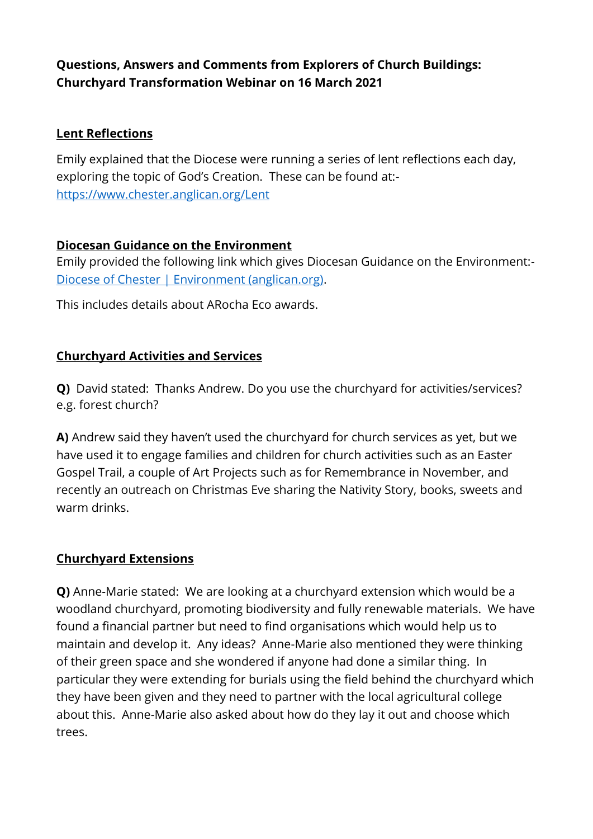# **Questions, Answers and Comments from Explorers of Church Buildings: Churchyard Transformation Webinar on 16 March 2021**

#### **Lent Reflections**

Emily explained that the Diocese were running a series of lent reflections each day, exploring the topic of God's Creation. These can be found at: <https://www.chester.anglican.org/Lent>

### **Diocesan Guidance on the Environment**

Emily provided the following link which gives Diocesan Guidance on the Environment:- [Diocese of Chester | Environment \(anglican.org\).](https://www.chester.anglican.org/outreach/environment/environment.php)

This includes details about ARocha Eco awards.

## **Churchyard Activities and Services**

**Q)** David stated: Thanks Andrew. Do you use the churchyard for activities/services? e.g. forest church?

**A)** Andrew said they haven't used the churchyard for church services as yet, but we have used it to engage families and children for church activities such as an Easter Gospel Trail, a couple of Art Projects such as for Remembrance in November, and recently an outreach on Christmas Eve sharing the Nativity Story, books, sweets and warm drinks.

## **Churchyard Extensions**

**Q)** Anne-Marie stated: We are looking at a churchyard extension which would be a woodland churchyard, promoting biodiversity and fully renewable materials. We have found a financial partner but need to find organisations which would help us to maintain and develop it. Any ideas? Anne-Marie also mentioned they were thinking of their green space and she wondered if anyone had done a similar thing. In particular they were extending for burials using the field behind the churchyard which they have been given and they need to partner with the local agricultural college about this. Anne-Marie also asked about how do they lay it out and choose which trees.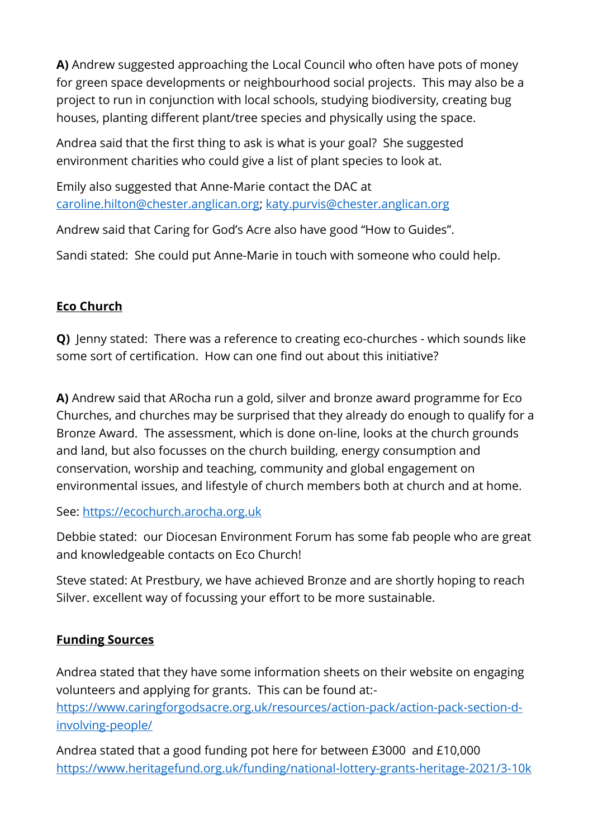**A)** Andrew suggested approaching the Local Council who often have pots of money for green space developments or neighbourhood social projects. This may also be a project to run in conjunction with local schools, studying biodiversity, creating bug houses, planting different plant/tree species and physically using the space.

Andrea said that the first thing to ask is what is your goal? She suggested environment charities who could give a list of plant species to look at.

Emily also suggested that Anne-Marie contact the DAC at [caroline.hilton@chester.anglican.org;](mailto:caroline.hilton@chester.anglican.org) [katy.purvis@chester.anglican.org](mailto:katy.purvis@chester.anglican.org)

Andrew said that Caring for God's Acre also have good "How to Guides".

Sandi stated: She could put Anne-Marie in touch with someone who could help.

# **Eco Church**

**Q)** Jenny stated: There was a reference to creating eco-churches - which sounds like some sort of certification. How can one find out about this initiative?

**A)** Andrew said that ARocha run a gold, silver and bronze award programme for Eco Churches, and churches may be surprised that they already do enough to qualify for a Bronze Award. The assessment, which is done on-line, looks at the church grounds and land, but also focusses on the church building, energy consumption and conservation, worship and teaching, community and global engagement on environmental issues, and lifestyle of church members both at church and at home.

See: [https://ecochurch.arocha.org.uk](https://ecochurch.arocha.org.uk/)

Debbie stated: our Diocesan Environment Forum has some fab people who are great and knowledgeable contacts on Eco Church!

Steve stated: At Prestbury, we have achieved Bronze and are shortly hoping to reach Silver. excellent way of focussing your effort to be more sustainable.

## **Funding Sources**

Andrea stated that they have some information sheets on their website on engaging volunteers and applying for grants. This can be found at: [https://www.caringforgodsacre.org.uk/resources/action-pack/action-pack-section-d](https://www.caringforgodsacre.org.uk/resources/action-pack/action-pack-section-d-involving-people/)[involving-people/](https://www.caringforgodsacre.org.uk/resources/action-pack/action-pack-section-d-involving-people/)

Andrea stated that a good funding pot here for between £3000 and £10,000 <https://www.heritagefund.org.uk/funding/national-lottery-grants-heritage-2021/3-10k>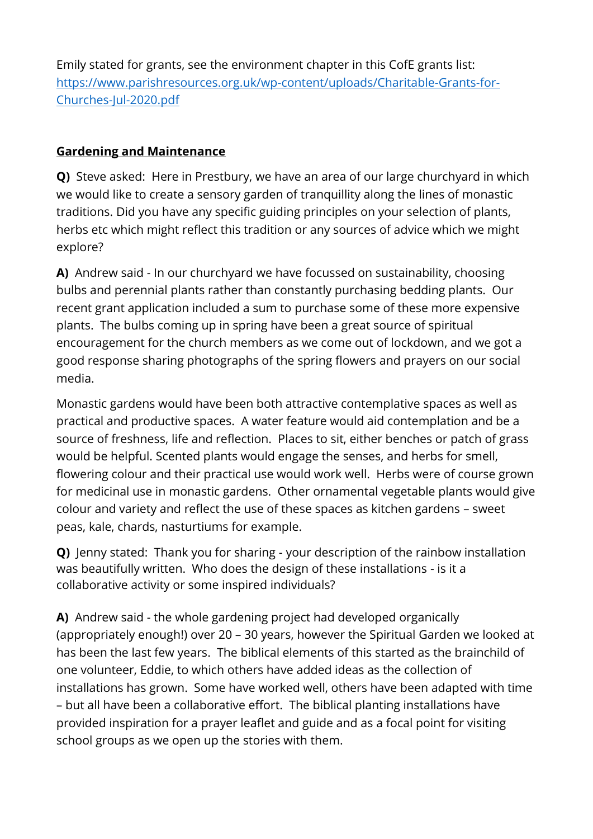Emily stated for grants, see the environment chapter in this CofE grants list: [https://www.parishresources.org.uk/wp-content/uploads/Charitable-Grants-for-](https://www.parishresources.org.uk/wp-content/uploads/Charitable-Grants-for-Churches-Jul-2020.pdf)[Churches-Jul-2020.pdf](https://www.parishresources.org.uk/wp-content/uploads/Charitable-Grants-for-Churches-Jul-2020.pdf)

### **Gardening and Maintenance**

**Q)** Steve asked: Here in Prestbury, we have an area of our large churchyard in which we would like to create a sensory garden of tranquillity along the lines of monastic traditions. Did you have any specific guiding principles on your selection of plants, herbs etc which might reflect this tradition or any sources of advice which we might explore?

**A)** Andrew said - In our churchyard we have focussed on sustainability, choosing bulbs and perennial plants rather than constantly purchasing bedding plants. Our recent grant application included a sum to purchase some of these more expensive plants. The bulbs coming up in spring have been a great source of spiritual encouragement for the church members as we come out of lockdown, and we got a good response sharing photographs of the spring flowers and prayers on our social media.

Monastic gardens would have been both attractive contemplative spaces as well as practical and productive spaces. A water feature would aid contemplation and be a source of freshness, life and reflection. Places to sit, either benches or patch of grass would be helpful. Scented plants would engage the senses, and herbs for smell, flowering colour and their practical use would work well. Herbs were of course grown for medicinal use in monastic gardens. Other ornamental vegetable plants would give colour and variety and reflect the use of these spaces as kitchen gardens – sweet peas, kale, chards, nasturtiums for example.

**Q)** Jenny stated: Thank you for sharing - your description of the rainbow installation was beautifully written. Who does the design of these installations - is it a collaborative activity or some inspired individuals?

**A)** Andrew said - the whole gardening project had developed organically (appropriately enough!) over 20 – 30 years, however the Spiritual Garden we looked at has been the last few years. The biblical elements of this started as the brainchild of one volunteer, Eddie, to which others have added ideas as the collection of installations has grown. Some have worked well, others have been adapted with time – but all have been a collaborative effort. The biblical planting installations have provided inspiration for a prayer leaflet and guide and as a focal point for visiting school groups as we open up the stories with them.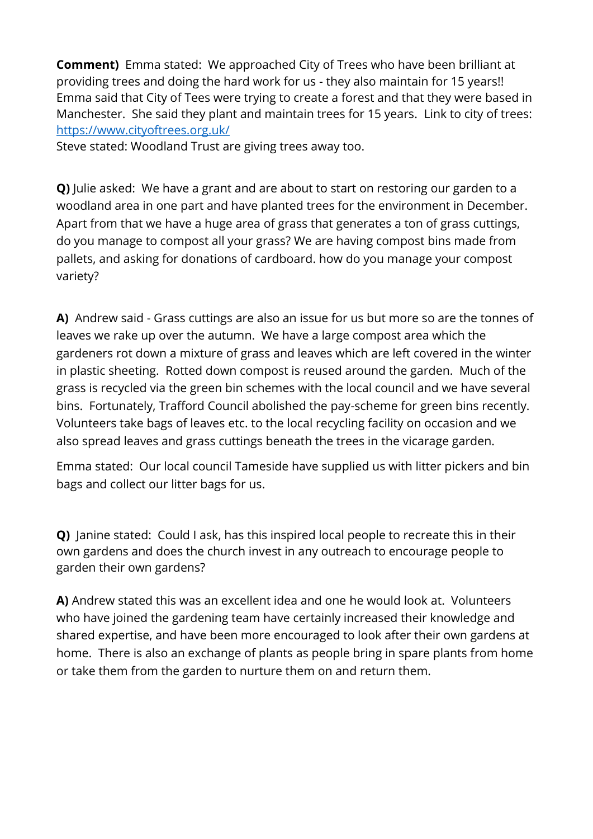**Comment)** Emma stated: We approached City of Trees who have been brilliant at providing trees and doing the hard work for us - they also maintain for 15 years!! Emma said that City of Tees were trying to create a forest and that they were based in Manchester. She said they plant and maintain trees for 15 years. Link to city of trees: <https://www.cityoftrees.org.uk/>

Steve stated: Woodland Trust are giving trees away too.

**Q)** Julie asked: We have a grant and are about to start on restoring our garden to a woodland area in one part and have planted trees for the environment in December. Apart from that we have a huge area of grass that generates a ton of grass cuttings, do you manage to compost all your grass? We are having compost bins made from pallets, and asking for donations of cardboard. how do you manage your compost variety?

**A)** Andrew said - Grass cuttings are also an issue for us but more so are the tonnes of leaves we rake up over the autumn. We have a large compost area which the gardeners rot down a mixture of grass and leaves which are left covered in the winter in plastic sheeting. Rotted down compost is reused around the garden. Much of the grass is recycled via the green bin schemes with the local council and we have several bins. Fortunately, Trafford Council abolished the pay-scheme for green bins recently. Volunteers take bags of leaves etc. to the local recycling facility on occasion and we also spread leaves and grass cuttings beneath the trees in the vicarage garden.

Emma stated: Our local council Tameside have supplied us with litter pickers and bin bags and collect our litter bags for us.

**Q)** Janine stated: Could I ask, has this inspired local people to recreate this in their own gardens and does the church invest in any outreach to encourage people to garden their own gardens?

**A)** Andrew stated this was an excellent idea and one he would look at. Volunteers who have joined the gardening team have certainly increased their knowledge and shared expertise, and have been more encouraged to look after their own gardens at home. There is also an exchange of plants as people bring in spare plants from home or take them from the garden to nurture them on and return them.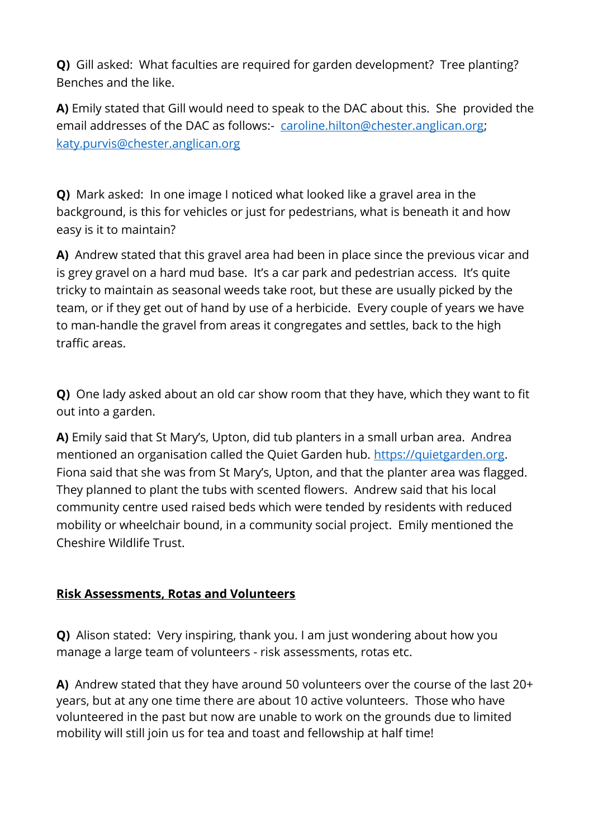**Q)** Gill asked: What faculties are required for garden development? Tree planting? Benches and the like.

**A)** Emily stated that Gill would need to speak to the DAC about this. She provided the email addresses of the DAC as follows:- [caroline.hilton@chester.anglican.org;](mailto:caroline.hilton@chester.anglican.org) [katy.purvis@chester.anglican.org](mailto:katy.purvis@chester.anglican.org)

**Q)** Mark asked: In one image I noticed what looked like a gravel area in the background, is this for vehicles or just for pedestrians, what is beneath it and how easy is it to maintain?

**A)** Andrew stated that this gravel area had been in place since the previous vicar and is grey gravel on a hard mud base. It's a car park and pedestrian access. It's quite tricky to maintain as seasonal weeds take root, but these are usually picked by the team, or if they get out of hand by use of a herbicide. Every couple of years we have to man-handle the gravel from areas it congregates and settles, back to the high traffic areas.

**Q)** One lady asked about an old car show room that they have, which they want to fit out into a garden.

**A)** Emily said that St Mary's, Upton, did tub planters in a small urban area. Andrea mentioned an organisation called the Quiet Garden hub. [https://quietgarden.org.](https://quietgarden.org/) Fiona said that she was from St Mary's, Upton, and that the planter area was flagged. They planned to plant the tubs with scented flowers. Andrew said that his local community centre used raised beds which were tended by residents with reduced mobility or wheelchair bound, in a community social project. Emily mentioned the Cheshire Wildlife Trust.

## **Risk Assessments, Rotas and Volunteers**

**Q)** Alison stated: Very inspiring, thank you. I am just wondering about how you manage a large team of volunteers - risk assessments, rotas etc.

**A)** Andrew stated that they have around 50 volunteers over the course of the last 20+ years, but at any one time there are about 10 active volunteers. Those who have volunteered in the past but now are unable to work on the grounds due to limited mobility will still join us for tea and toast and fellowship at half time!